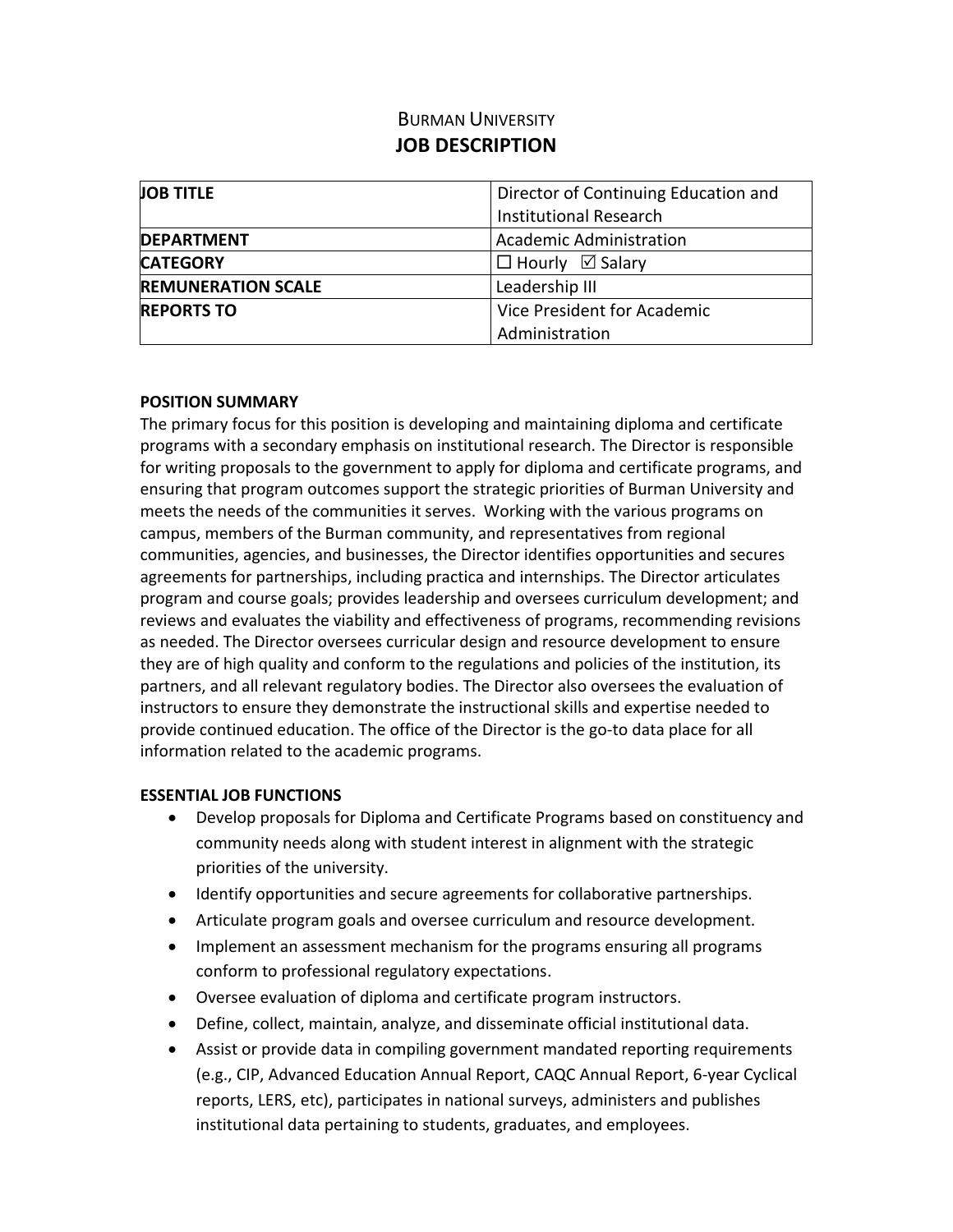# BURMAN UNIVERSITY **JOB DESCRIPTION**

| <b>JOB TITLE</b>          | Director of Continuing Education and |
|---------------------------|--------------------------------------|
|                           | <b>Institutional Research</b>        |
| <b>IDEPARTMENT</b>        | Academic Administration              |
| <b>CATEGORY</b>           | $\Box$ Hourly $\boxdot$ Salary       |
| <b>REMUNERATION SCALE</b> | Leadership III                       |
| <b>REPORTS TO</b>         | Vice President for Academic          |
|                           | Administration                       |

### **POSITION SUMMARY**

The primary focus for this position is developing and maintaining diploma and certificate programs with a secondary emphasis on institutional research. The Director is responsible for writing proposals to the government to apply for diploma and certificate programs, and ensuring that program outcomes support the strategic priorities of Burman University and meets the needs of the communities it serves. Working with the various programs on campus, members of the Burman community, and representatives from regional communities, agencies, and businesses, the Director identifies opportunities and secures agreements for partnerships, including practica and internships. The Director articulates program and course goals; provides leadership and oversees curriculum development; and reviews and evaluates the viability and effectiveness of programs, recommending revisions as needed. The Director oversees curricular design and resource development to ensure they are of high quality and conform to the regulations and policies of the institution, its partners, and all relevant regulatory bodies. The Director also oversees the evaluation of instructors to ensure they demonstrate the instructional skills and expertise needed to provide continued education. The office of the Director is the go-to data place for all information related to the academic programs.

## **ESSENTIAL JOB FUNCTIONS**

- Develop proposals for Diploma and Certificate Programs based on constituency and community needs along with student interest in alignment with the strategic priorities of the university.
- Identify opportunities and secure agreements for collaborative partnerships.
- Articulate program goals and oversee curriculum and resource development.
- Implement an assessment mechanism for the programs ensuring all programs conform to professional regulatory expectations.
- Oversee evaluation of diploma and certificate program instructors.
- Define, collect, maintain, analyze, and disseminate official institutional data.
- Assist or provide data in compiling government mandated reporting requirements (e.g., CIP, Advanced Education Annual Report, CAQC Annual Report, 6-year Cyclical reports, LERS, etc), participates in national surveys, administers and publishes institutional data pertaining to students, graduates, and employees.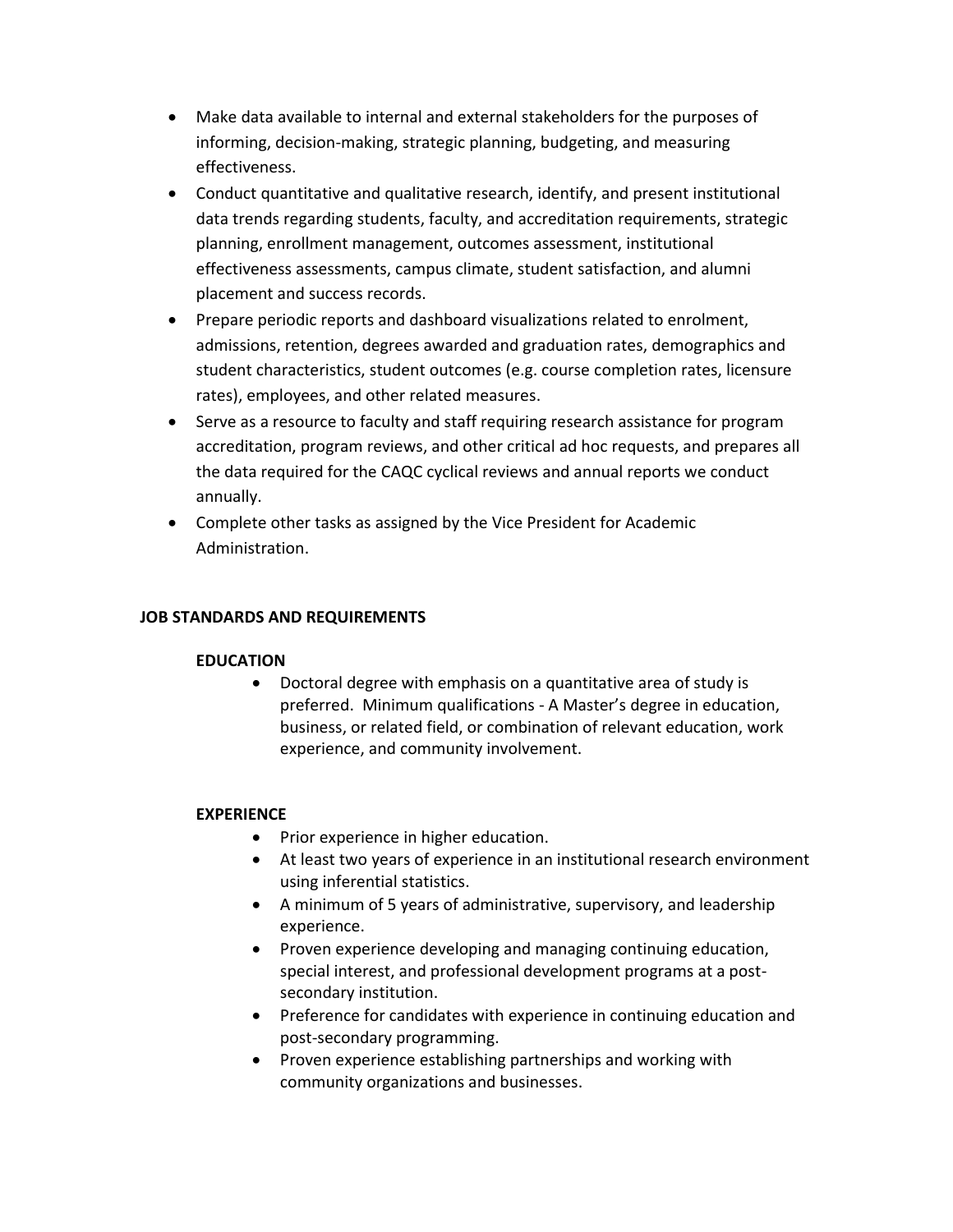- Make data available to internal and external stakeholders for the purposes of informing, decision-making, strategic planning, budgeting, and measuring effectiveness.
- Conduct quantitative and qualitative research, identify, and present institutional data trends regarding students, faculty, and accreditation requirements, strategic planning, enrollment management, outcomes assessment, institutional effectiveness assessments, campus climate, student satisfaction, and alumni placement and success records.
- Prepare periodic reports and dashboard visualizations related to enrolment, admissions, retention, degrees awarded and graduation rates, demographics and student characteristics, student outcomes (e.g. course completion rates, licensure rates), employees, and other related measures.
- Serve as a resource to faculty and staff requiring research assistance for program accreditation, program reviews, and other critical ad hoc requests, and prepares all the data required for the CAQC cyclical reviews and annual reports we conduct annually.
- Complete other tasks as assigned by the Vice President for Academic Administration.

## **JOB STANDARDS AND REQUIREMENTS**

#### **EDUCATION**

 Doctoral degree with emphasis on a quantitative area of study is preferred. Minimum qualifications - A Master's degree in education, business, or related field, or combination of relevant education, work experience, and community involvement.

## **EXPERIENCE**

- Prior experience in higher education.
- At least two years of experience in an institutional research environment using inferential statistics.
- A minimum of 5 years of administrative, supervisory, and leadership experience.
- Proven experience developing and managing continuing education, special interest, and professional development programs at a postsecondary institution.
- Preference for candidates with experience in continuing education and post-secondary programming.
- Proven experience establishing partnerships and working with community organizations and businesses.